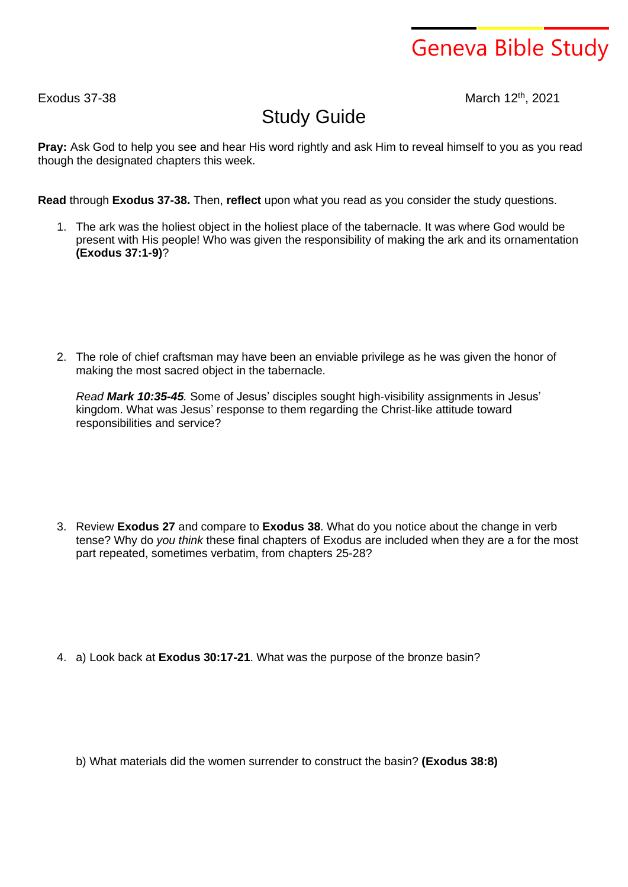## Geneva Bible Study

 $Exodus$  37-38

March 12th, 2021

## Study Guide

**Pray:** Ask God to help you see and hear His word rightly and ask Him to reveal himself to you as you read though the designated chapters this week.

**Read** through **Exodus 37-38.** Then, **reflect** upon what you read as you consider the study questions.

1. The ark was the holiest object in the holiest place of the tabernacle. It was where God would be present with His people! Who was given the responsibility of making the ark and its ornamentation **(Exodus 37:1-9)**?

2. The role of chief craftsman may have been an enviable privilege as he was given the honor of making the most sacred object in the tabernacle.

*Read Mark 10:35-45.* Some of Jesus' disciples sought high-visibility assignments in Jesus' kingdom. What was Jesus' response to them regarding the Christ-like attitude toward responsibilities and service?

3. Review **Exodus 27** and compare to **Exodus 38**. What do you notice about the change in verb tense? Why do *you think* these final chapters of Exodus are included when they are a for the most part repeated, sometimes verbatim, from chapters 25-28?

4. a) Look back at **Exodus 30:17-21**. What was the purpose of the bronze basin?

b) What materials did the women surrender to construct the basin? **(Exodus 38:8)**